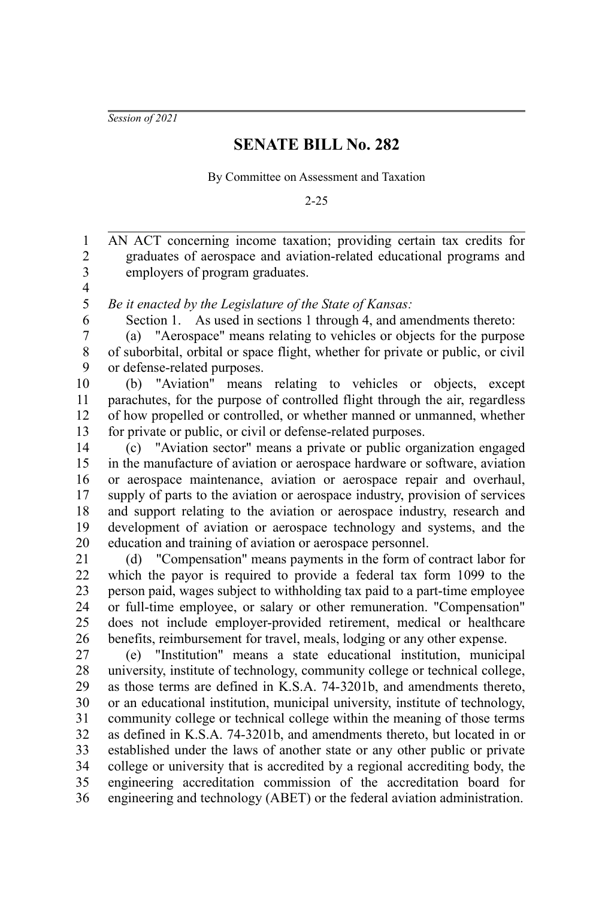*Session of 2021*

## **SENATE BILL No. 282**

By Committee on Assessment and Taxation

2-25

AN ACT concerning income taxation; providing certain tax credits for graduates of aerospace and aviation-related educational programs and employers of program graduates. 1 2 3

4 5

6

*Be it enacted by the Legislature of the State of Kansas:*

Section 1. As used in sections 1 through 4, and amendments thereto:

(a) "Aerospace" means relating to vehicles or objects for the purpose of suborbital, orbital or space flight, whether for private or public, or civil or defense-related purposes. 7 8 9

(b) "Aviation" means relating to vehicles or objects, except parachutes, for the purpose of controlled flight through the air, regardless of how propelled or controlled, or whether manned or unmanned, whether for private or public, or civil or defense-related purposes. 10 11 12 13

(c) "Aviation sector" means a private or public organization engaged in the manufacture of aviation or aerospace hardware or software, aviation or aerospace maintenance, aviation or aerospace repair and overhaul, supply of parts to the aviation or aerospace industry, provision of services and support relating to the aviation or aerospace industry, research and development of aviation or aerospace technology and systems, and the education and training of aviation or aerospace personnel. 14 15 16 17 18 19 20

(d) "Compensation" means payments in the form of contract labor for which the payor is required to provide a federal tax form 1099 to the person paid, wages subject to withholding tax paid to a part-time employee or full-time employee, or salary or other remuneration. "Compensation" does not include employer-provided retirement, medical or healthcare benefits, reimbursement for travel, meals, lodging or any other expense. 21 22 23 24 25 26

(e) "Institution" means a state educational institution, municipal university, institute of technology, community college or technical college, as those terms are defined in K.S.A. 74-3201b, and amendments thereto, or an educational institution, municipal university, institute of technology, community college or technical college within the meaning of those terms as defined in K.S.A. 74-3201b, and amendments thereto, but located in or established under the laws of another state or any other public or private college or university that is accredited by a regional accrediting body, the engineering accreditation commission of the accreditation board for engineering and technology (ABET) or the federal aviation administration. 27 28 29 30 31 32 33 34 35 36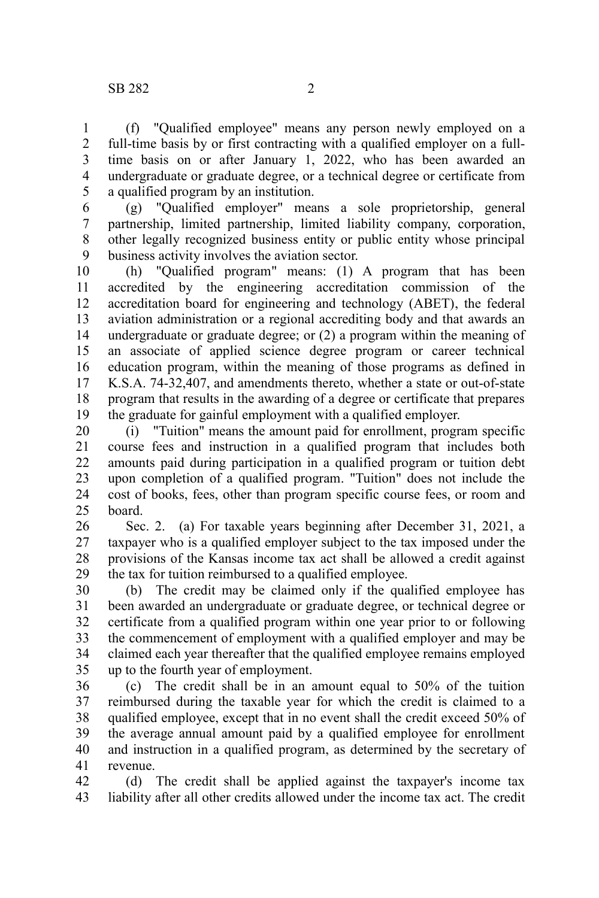(f) "Qualified employee" means any person newly employed on a full-time basis by or first contracting with a qualified employer on a fulltime basis on or after January 1, 2022, who has been awarded an undergraduate or graduate degree, or a technical degree or certificate from a qualified program by an institution. 1 2 3 4 5

(g) "Qualified employer" means a sole proprietorship, general partnership, limited partnership, limited liability company, corporation, other legally recognized business entity or public entity whose principal business activity involves the aviation sector. 6 7 8 9

(h) "Qualified program" means: (1) A program that has been accredited by the engineering accreditation commission of the accreditation board for engineering and technology (ABET), the federal aviation administration or a regional accrediting body and that awards an undergraduate or graduate degree; or (2) a program within the meaning of an associate of applied science degree program or career technical education program, within the meaning of those programs as defined in K.S.A. 74-32,407, and amendments thereto, whether a state or out-of-state program that results in the awarding of a degree or certificate that prepares the graduate for gainful employment with a qualified employer. 10 11 12 13 14 15 16 17 18 19

(i) "Tuition" means the amount paid for enrollment, program specific course fees and instruction in a qualified program that includes both amounts paid during participation in a qualified program or tuition debt upon completion of a qualified program. "Tuition" does not include the cost of books, fees, other than program specific course fees, or room and board. 20 21 22 23 24 25

Sec. 2. (a) For taxable years beginning after December 31, 2021, a taxpayer who is a qualified employer subject to the tax imposed under the provisions of the Kansas income tax act shall be allowed a credit against the tax for tuition reimbursed to a qualified employee. 26 27 28 29

(b) The credit may be claimed only if the qualified employee has been awarded an undergraduate or graduate degree, or technical degree or certificate from a qualified program within one year prior to or following the commencement of employment with a qualified employer and may be claimed each year thereafter that the qualified employee remains employed up to the fourth year of employment. 30 31 32 33 34 35

(c) The credit shall be in an amount equal to 50% of the tuition reimbursed during the taxable year for which the credit is claimed to a qualified employee, except that in no event shall the credit exceed 50% of the average annual amount paid by a qualified employee for enrollment and instruction in a qualified program, as determined by the secretary of revenue. 36 37 38 39 40 41

(d) The credit shall be applied against the taxpayer's income tax liability after all other credits allowed under the income tax act. The credit 42 43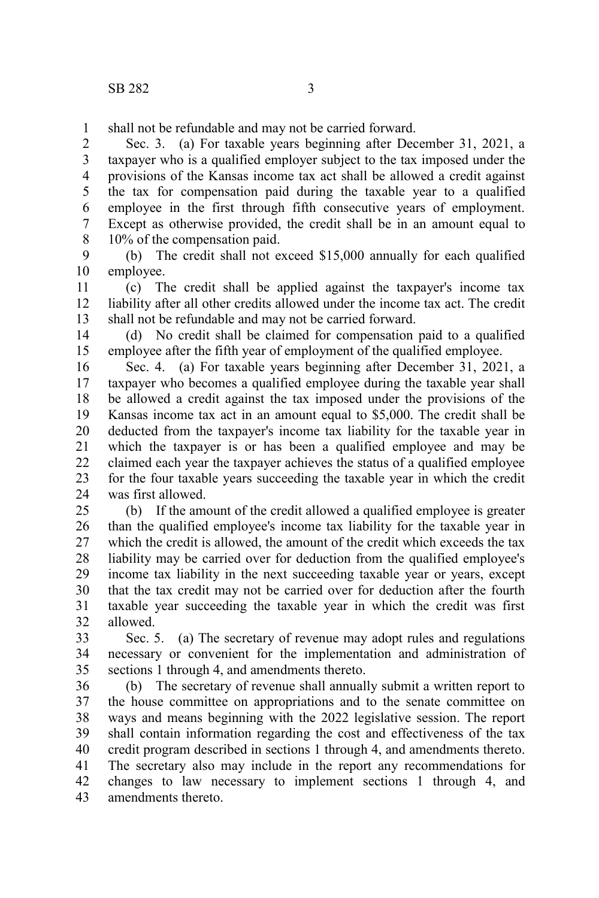shall not be refundable and may not be carried forward. 1

Sec. 3. (a) For taxable years beginning after December 31, 2021, a taxpayer who is a qualified employer subject to the tax imposed under the provisions of the Kansas income tax act shall be allowed a credit against the tax for compensation paid during the taxable year to a qualified employee in the first through fifth consecutive years of employment. Except as otherwise provided, the credit shall be in an amount equal to 10% of the compensation paid. 2 3 4 5 6 7 8

(b) The credit shall not exceed \$15,000 annually for each qualified employee. 9 10

(c) The credit shall be applied against the taxpayer's income tax liability after all other credits allowed under the income tax act. The credit shall not be refundable and may not be carried forward. 11 12 13

(d) No credit shall be claimed for compensation paid to a qualified employee after the fifth year of employment of the qualified employee. 14 15

Sec. 4. (a) For taxable years beginning after December 31, 2021, a taxpayer who becomes a qualified employee during the taxable year shall be allowed a credit against the tax imposed under the provisions of the Kansas income tax act in an amount equal to \$5,000. The credit shall be deducted from the taxpayer's income tax liability for the taxable year in which the taxpayer is or has been a qualified employee and may be claimed each year the taxpayer achieves the status of a qualified employee for the four taxable years succeeding the taxable year in which the credit was first allowed. 16 17 18 19 20 21 22 23 24

(b) If the amount of the credit allowed a qualified employee is greater than the qualified employee's income tax liability for the taxable year in which the credit is allowed, the amount of the credit which exceeds the tax liability may be carried over for deduction from the qualified employee's income tax liability in the next succeeding taxable year or years, except that the tax credit may not be carried over for deduction after the fourth taxable year succeeding the taxable year in which the credit was first allowed. 25 26 27 28 29 30 31 32

Sec. 5. (a) The secretary of revenue may adopt rules and regulations necessary or convenient for the implementation and administration of sections 1 through 4, and amendments thereto. 33 34 35

(b) The secretary of revenue shall annually submit a written report to the house committee on appropriations and to the senate committee on ways and means beginning with the 2022 legislative session. The report shall contain information regarding the cost and effectiveness of the tax credit program described in sections 1 through 4, and amendments thereto. The secretary also may include in the report any recommendations for changes to law necessary to implement sections 1 through 4, and amendments thereto. 36 37 38 39 40 41 42 43